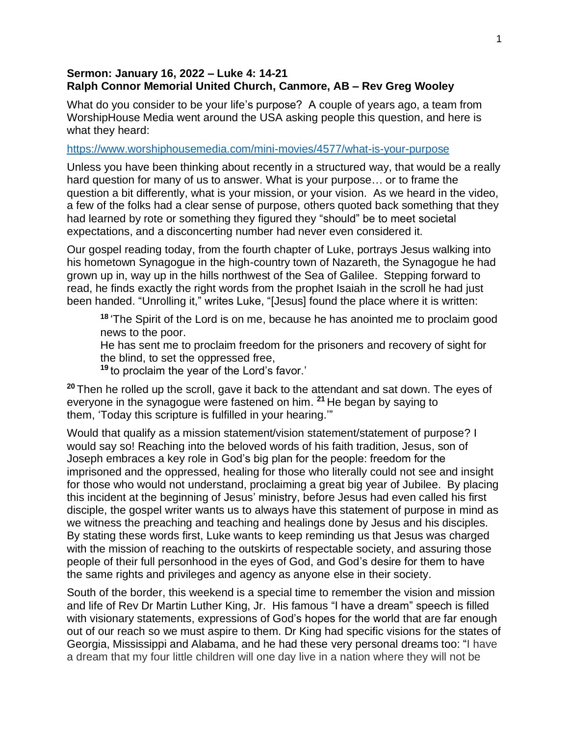## **Sermon: January 16, 2022 – Luke 4: 14-21 Ralph Connor Memorial United Church, Canmore, AB – Rev Greg Wooley**

What do you consider to be your life's purpose? A couple of years ago, a team from WorshipHouse Media went around the USA asking people this question, and here is what they heard:

## <https://www.worshiphousemedia.com/mini-movies/4577/what-is-your-purpose>

Unless you have been thinking about recently in a structured way, that would be a really hard question for many of us to answer. What is your purpose… or to frame the question a bit differently, what is your mission, or your vision. As we heard in the video, a few of the folks had a clear sense of purpose, others quoted back something that they had learned by rote or something they figured they "should" be to meet societal expectations, and a disconcerting number had never even considered it.

Our gospel reading today, from the fourth chapter of Luke, portrays Jesus walking into his hometown Synagogue in the high-country town of Nazareth, the Synagogue he had grown up in, way up in the hills northwest of the Sea of Galilee. Stepping forward to read, he finds exactly the right words from the prophet Isaiah in the scroll he had just been handed. "Unrolling it," writes Luke, "[Jesus] found the place where it is written:

**18** 'The Spirit of the Lord is on me, because he has anointed me to proclaim good news to the poor.

He has sent me to proclaim freedom for the prisoners and recovery of sight for the blind, to set the oppressed free,

**<sup>19</sup>** to proclaim the year of the Lord's favor.'

**<sup>20</sup>** Then he rolled up the scroll, gave it back to the attendant and sat down. The eyes of everyone in the synagogue were fastened on him. **<sup>21</sup>** He began by saying to them, 'Today this scripture is fulfilled in your hearing.'"

Would that qualify as a mission statement/vision statement/statement of purpose? I would say so! Reaching into the beloved words of his faith tradition, Jesus, son of Joseph embraces a key role in God's big plan for the people: freedom for the imprisoned and the oppressed, healing for those who literally could not see and insight for those who would not understand, proclaiming a great big year of Jubilee. By placing this incident at the beginning of Jesus' ministry, before Jesus had even called his first disciple, the gospel writer wants us to always have this statement of purpose in mind as we witness the preaching and teaching and healings done by Jesus and his disciples. By stating these words first, Luke wants to keep reminding us that Jesus was charged with the mission of reaching to the outskirts of respectable society, and assuring those people of their full personhood in the eyes of God, and God's desire for them to have the same rights and privileges and agency as anyone else in their society.

South of the border, this weekend is a special time to remember the vision and mission and life of Rev Dr Martin Luther King, Jr. His famous "I have a dream" speech is filled with visionary statements, expressions of God's hopes for the world that are far enough out of our reach so we must aspire to them. Dr King had specific visions for the states of Georgia, Mississippi and Alabama, and he had these very personal dreams too: "I have a dream that my four little children will one day live in a nation where they will not be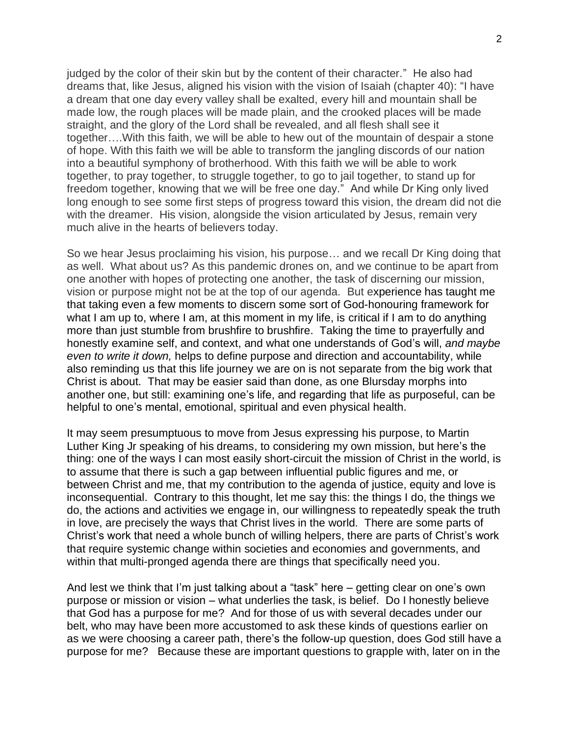judged by the color of their skin but by the content of their character." He also had dreams that, like Jesus, aligned his vision with the vision of Isaiah (chapter 40): "I have a dream that one day every valley shall be exalted, every hill and mountain shall be made low, the rough places will be made plain, and the crooked places will be made straight, and the glory of the Lord shall be revealed, and all flesh shall see it together….With this faith, we will be able to hew out of the mountain of despair a stone of hope. With this faith we will be able to transform the jangling discords of our nation into a beautiful symphony of brotherhood. With this faith we will be able to work together, to pray together, to struggle together, to go to jail together, to stand up for freedom together, knowing that we will be free one day." And while Dr King only lived long enough to see some first steps of progress toward this vision, the dream did not die with the dreamer. His vision, alongside the vision articulated by Jesus, remain very much alive in the hearts of believers today.

So we hear Jesus proclaiming his vision, his purpose… and we recall Dr King doing that as well. What about us? As this pandemic drones on, and we continue to be apart from one another with hopes of protecting one another, the task of discerning our mission, vision or purpose might not be at the top of our agenda. But experience has taught me that taking even a few moments to discern some sort of God-honouring framework for what I am up to, where I am, at this moment in my life, is critical if I am to do anything more than just stumble from brushfire to brushfire. Taking the time to prayerfully and honestly examine self, and context, and what one understands of God's will, *and maybe even to write it down,* helps to define purpose and direction and accountability, while also reminding us that this life journey we are on is not separate from the big work that Christ is about. That may be easier said than done, as one Blursday morphs into another one, but still: examining one's life, and regarding that life as purposeful, can be helpful to one's mental, emotional, spiritual and even physical health.

It may seem presumptuous to move from Jesus expressing his purpose, to Martin Luther King Jr speaking of his dreams, to considering my own mission, but here's the thing: one of the ways I can most easily short-circuit the mission of Christ in the world, is to assume that there is such a gap between influential public figures and me, or between Christ and me, that my contribution to the agenda of justice, equity and love is inconsequential. Contrary to this thought, let me say this: the things I do, the things we do, the actions and activities we engage in, our willingness to repeatedly speak the truth in love, are precisely the ways that Christ lives in the world. There are some parts of Christ's work that need a whole bunch of willing helpers, there are parts of Christ's work that require systemic change within societies and economies and governments, and within that multi-pronged agenda there are things that specifically need you.

And lest we think that I'm just talking about a "task" here – getting clear on one's own purpose or mission or vision – what underlies the task, is belief. Do I honestly believe that God has a purpose for me? And for those of us with several decades under our belt, who may have been more accustomed to ask these kinds of questions earlier on as we were choosing a career path, there's the follow-up question, does God still have a purpose for me? Because these are important questions to grapple with, later on in the